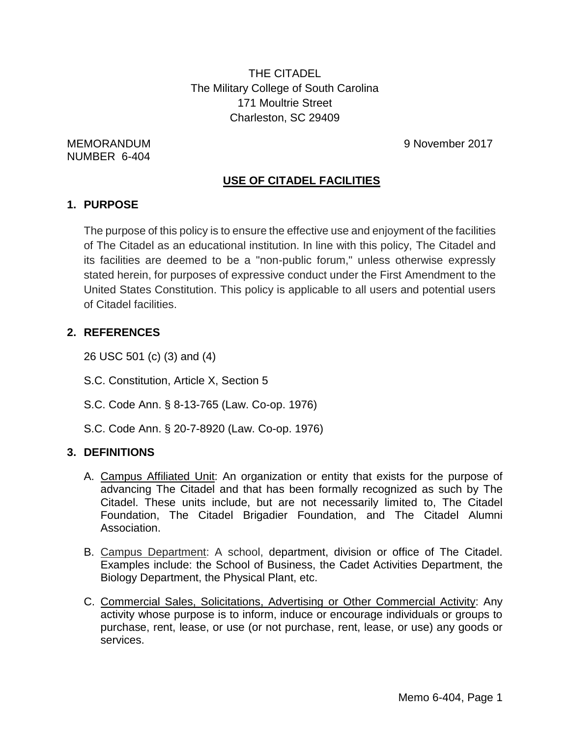THE CITADEL The Military College of South Carolina 171 Moultrie Street Charleston, SC 29409

NUMBER 6-404

MEMORANDUM 9 November 2017

## **USE OF CITADEL FACILITIES**

## **1. PURPOSE**

The purpose of this policy is to ensure the effective use and enjoyment of the facilities of The Citadel as an educational institution. In line with this policy, The Citadel and its facilities are deemed to be a "non-public forum," unless otherwise expressly stated herein, for purposes of expressive conduct under the First Amendment to the United States Constitution. This policy is applicable to all users and potential users of Citadel facilities.

## **2. REFERENCES**

26 USC 501 (c) (3) and (4)

- S.C. Constitution, Article X, Section 5
- S.C. Code Ann. § 8-13-765 (Law. Co-op. 1976)
- S.C. Code Ann. § 20-7-8920 (Law. Co-op. 1976)

## **3. DEFINITIONS**

- A. Campus Affiliated Unit: An organization or entity that exists for the purpose of advancing The Citadel and that has been formally recognized as such by The Citadel. These units include, but are not necessarily limited to, The Citadel Foundation, The Citadel Brigadier Foundation, and The Citadel Alumni Association.
- B. Campus Department: A school, department, division or office of The Citadel. Examples include: the School of Business, the Cadet Activities Department, the Biology Department, the Physical Plant, etc.
- C. Commercial Sales, Solicitations, Advertising or Other Commercial Activity: Any activity whose purpose is to inform, induce or encourage individuals or groups to purchase, rent, lease, or use (or not purchase, rent, lease, or use) any goods or services.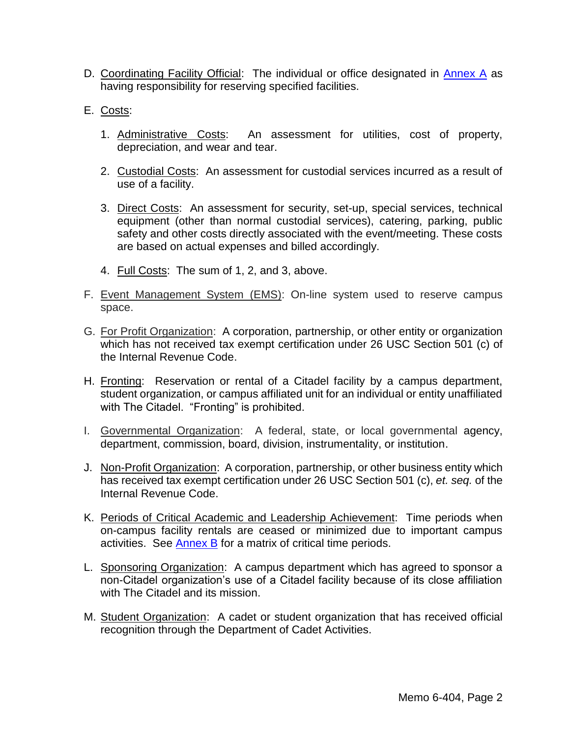- D. Coordinating Facility Official: The individual or office designated in [Annex](#page-12-0) A as having responsibility for reserving specified facilities.
- E. Costs:
	- 1. Administrative Costs: An assessment for utilities, cost of property, depreciation, and wear and tear.
	- 2. Custodial Costs: An assessment for custodial services incurred as a result of use of a facility.
	- 3. Direct Costs: An assessment for security, set-up, special services, technical equipment (other than normal custodial services), catering, parking, public safety and other costs directly associated with the event/meeting. These costs are based on actual expenses and billed accordingly.
	- 4. Full Costs: The sum of 1, 2, and 3, above.
- F. Event Management System (EMS): On-line system used to reserve campus space.
- G. For Profit Organization: A corporation, partnership, or other entity or organization which has not received tax exempt certification under 26 USC Section 501 (c) of the Internal Revenue Code.
- H. Fronting: Reservation or rental of a Citadel facility by a campus department, student organization, or campus affiliated unit for an individual or entity unaffiliated with The Citadel. "Fronting" is prohibited.
- I. Governmental Organization: A federal, state, or local governmental agency, department, commission, board, division, instrumentality, or institution.
- J. Non-Profit Organization: A corporation, partnership, or other business entity which has received tax exempt certification under 26 USC Section 501 (c), *et. seq.* of the Internal Revenue Code.
- K. Periods of Critical Academic and Leadership Achievement: Time periods when on-campus facility rentals are ceased or minimized due to important campus activities. See [Annex B](#page-13-0) for a matrix of critical time periods.
- L. Sponsoring Organization: A campus department which has agreed to sponsor a non-Citadel organization's use of a Citadel facility because of its close affiliation with The Citadel and its mission.
- M. Student Organization: A cadet or student organization that has received official recognition through the Department of Cadet Activities.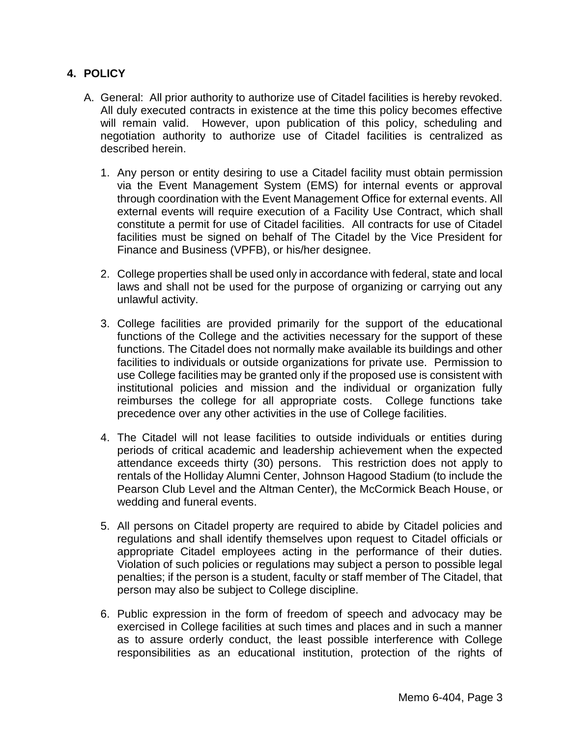### **4. POLICY**

- A. General:All prior authority to authorize use of Citadel facilities is hereby revoked. All duly executed contracts in existence at the time this policy becomes effective will remain valid. However, upon publication of this policy, scheduling and negotiation authority to authorize use of Citadel facilities is centralized as described herein.
	- 1. Any person or entity desiring to use a Citadel facility must obtain permission via the Event Management System (EMS) for internal events or approval through coordination with the Event Management Office for external events. All external events will require execution of a Facility Use Contract, which shall constitute a permit for use of Citadel facilities. All contracts for use of Citadel facilities must be signed on behalf of The Citadel by the Vice President for Finance and Business (VPFB), or his/her designee.
	- 2. College properties shall be used only in accordance with federal, state and local laws and shall not be used for the purpose of organizing or carrying out any unlawful activity.
	- 3. College facilities are provided primarily for the support of the educational functions of the College and the activities necessary for the support of these functions. The Citadel does not normally make available its buildings and other facilities to individuals or outside organizations for private use. Permission to use College facilities may be granted only if the proposed use is consistent with institutional policies and mission and the individual or organization fully reimburses the college for all appropriate costs. College functions take precedence over any other activities in the use of College facilities.
	- 4. The Citadel will not lease facilities to outside individuals or entities during periods of critical academic and leadership achievement when the expected attendance exceeds thirty (30) persons. This restriction does not apply to rentals of the Holliday Alumni Center, Johnson Hagood Stadium (to include the Pearson Club Level and the Altman Center), the McCormick Beach House, or wedding and funeral events.
	- 5. All persons on Citadel property are required to abide by Citadel policies and regulations and shall identify themselves upon request to Citadel officials or appropriate Citadel employees acting in the performance of their duties. Violation of such policies or regulations may subject a person to possible legal penalties; if the person is a student, faculty or staff member of The Citadel, that person may also be subject to College discipline.
	- 6. Public expression in the form of freedom of speech and advocacy may be exercised in College facilities at such times and places and in such a manner as to assure orderly conduct, the least possible interference with College responsibilities as an educational institution, protection of the rights of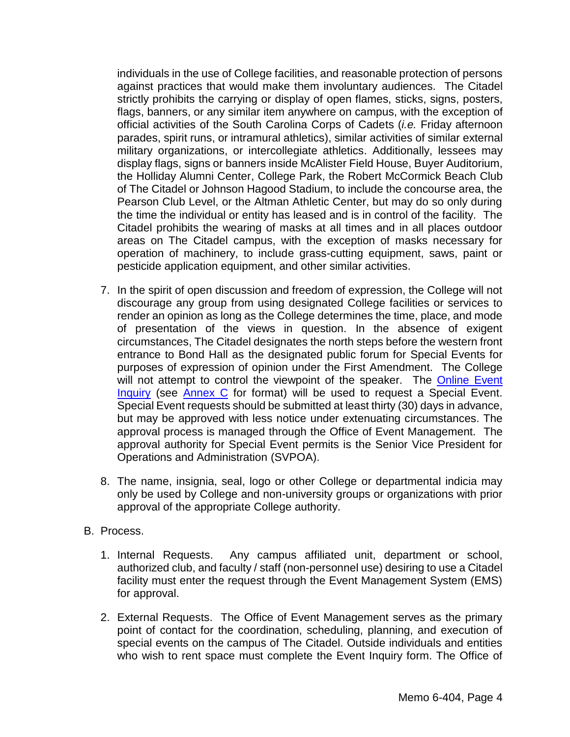individuals in the use of College facilities, and reasonable protection of persons against practices that would make them involuntary audiences. The Citadel strictly prohibits the carrying or display of open flames, sticks, signs, posters, flags, banners, or any similar item anywhere on campus, with the exception of official activities of the South Carolina Corps of Cadets (*i.e.* Friday afternoon parades, spirit runs, or intramural athletics), similar activities of similar external military organizations, or intercollegiate athletics. Additionally, lessees may display flags, signs or banners inside McAlister Field House, Buyer Auditorium, the Holliday Alumni Center, College Park, the Robert McCormick Beach Club of The Citadel or Johnson Hagood Stadium, to include the concourse area, the Pearson Club Level, or the Altman Athletic Center, but may do so only during the time the individual or entity has leased and is in control of the facility. The Citadel prohibits the wearing of masks at all times and in all places outdoor areas on The Citadel campus, with the exception of masks necessary for operation of machinery, to include grass-cutting equipment, saws, paint or pesticide application equipment, and other similar activities.

- 7. In the spirit of open discussion and freedom of expression, the College will not discourage any group from using designated College facilities or services to render an opinion as long as the College determines the time, place, and mode of presentation of the views in question. In the absence of exigent circumstances, The Citadel designates the north steps before the western front entrance to Bond Hall as the designated public forum for Special Events for purposes of expression of opinion under the First Amendment. The College will not attempt to control the viewpoint of the speaker. The Online Event [Inquiry](http://www.citadel.edu/root/eventmanagement-contact-us) (see **Annex C** for format) will be used to request a Special Event. Special Event requests should be submitted at least thirty (30) days in advance, but may be approved with less notice under extenuating circumstances. The approval process is managed through the Office of Event Management. The approval authority for Special Event permits is the Senior Vice President for Operations and Administration (SVPOA).
- 8. The name, insignia, seal, logo or other College or departmental indicia may only be used by College and non-university groups or organizations with prior approval of the appropriate College authority.

#### B. Process.

- 1. Internal Requests. Any campus affiliated unit, department or school, authorized club, and faculty / staff (non-personnel use) desiring to use a Citadel facility must enter the request through the Event Management System (EMS) for approval.
- 2. External Requests. The Office of Event Management serves as the primary point of contact for the coordination, scheduling, planning, and execution of special events on the campus of The Citadel. Outside individuals and entities who wish to rent space must complete the Event Inquiry form. The Office of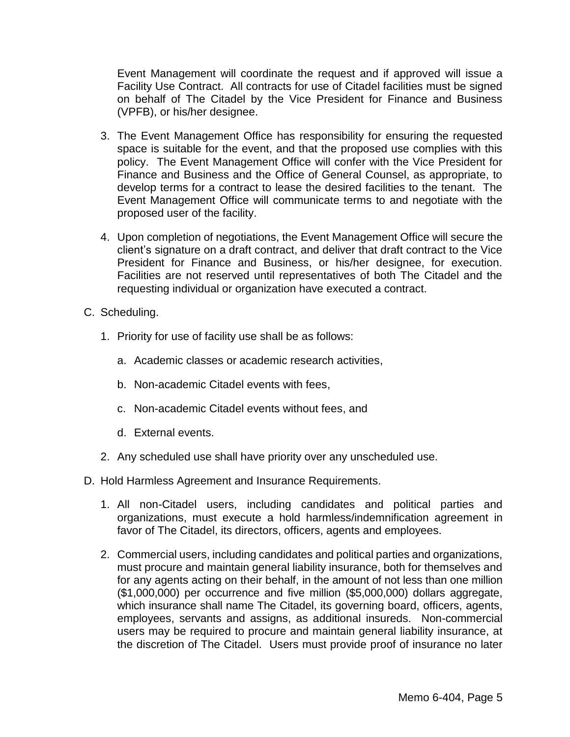Event Management will coordinate the request and if approved will issue a Facility Use Contract. All contracts for use of Citadel facilities must be signed on behalf of The Citadel by the Vice President for Finance and Business (VPFB), or his/her designee.

- 3. The Event Management Office has responsibility for ensuring the requested space is suitable for the event, and that the proposed use complies with this policy. The Event Management Office will confer with the Vice President for Finance and Business and the Office of General Counsel, as appropriate, to develop terms for a contract to lease the desired facilities to the tenant. The Event Management Office will communicate terms to and negotiate with the proposed user of the facility.
- 4. Upon completion of negotiations, the Event Management Office will secure the client's signature on a draft contract, and deliver that draft contract to the Vice President for Finance and Business, or his/her designee, for execution. Facilities are not reserved until representatives of both The Citadel and the requesting individual or organization have executed a contract.
- C. Scheduling.
	- 1. Priority for use of facility use shall be as follows:
		- a. Academic classes or academic research activities,
		- b. Non-academic Citadel events with fees,
		- c. Non-academic Citadel events without fees, and
		- d. External events.
	- 2. Any scheduled use shall have priority over any unscheduled use.
- D. Hold Harmless Agreement and Insurance Requirements.
	- 1. All non-Citadel users, including candidates and political parties and organizations, must execute a hold harmless/indemnification agreement in favor of The Citadel, its directors, officers, agents and employees.
	- 2. Commercial users, including candidates and political parties and organizations, must procure and maintain general liability insurance, both for themselves and for any agents acting on their behalf, in the amount of not less than one million (\$1,000,000) per occurrence and five million (\$5,000,000) dollars aggregate, which insurance shall name The Citadel, its governing board, officers, agents, employees, servants and assigns, as additional insureds. Non-commercial users may be required to procure and maintain general liability insurance, at the discretion of The Citadel. Users must provide proof of insurance no later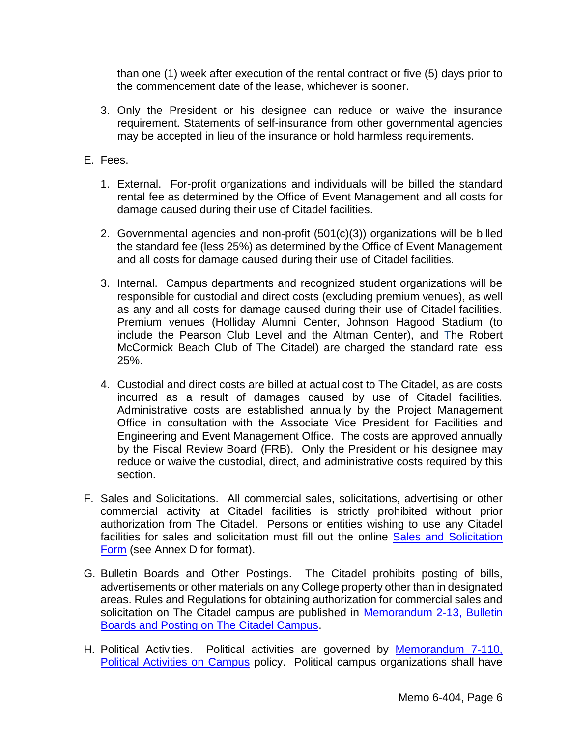than one (1) week after execution of the rental contract or five (5) days prior to the commencement date of the lease, whichever is sooner.

- 3. Only the President or his designee can reduce or waive the insurance requirement. Statements of self-insurance from other governmental agencies may be accepted in lieu of the insurance or hold harmless requirements.
- E. Fees.
	- 1. External. For-profit organizations and individuals will be billed the standard rental fee as determined by the Office of Event Management and all costs for damage caused during their use of Citadel facilities.
	- 2. Governmental agencies and non-profit (501(c)(3)) organizations will be billed the standard fee (less 25%) as determined by the Office of Event Management and all costs for damage caused during their use of Citadel facilities.
	- 3. Internal. Campus departments and recognized student organizations will be responsible for custodial and direct costs (excluding premium venues), as well as any and all costs for damage caused during their use of Citadel facilities. Premium venues (Holliday Alumni Center, Johnson Hagood Stadium (to include the Pearson Club Level and the Altman Center), and The Robert McCormick Beach Club of The Citadel) are charged the standard rate less 25%.
	- 4. Custodial and direct costs are billed at actual cost to The Citadel, as are costs incurred as a result of damages caused by use of Citadel facilities. Administrative costs are established annually by the Project Management Office in consultation with the Associate Vice President for Facilities and Engineering and Event Management Office. The costs are approved annually by the Fiscal Review Board (FRB). Only the President or his designee may reduce or waive the custodial, direct, and administrative costs required by this section.
- F. Sales and Solicitations.All commercial sales, solicitations, advertising or other commercial activity at Citadel facilities is strictly prohibited without prior authorization from The Citadel. Persons or entities wishing to use any Citadel facilities for sales and solicitation must fill out the online Sales and Solicitation [Form](http://www.citadel.edu/root/sales-and-solicitations-form) (see Annex D for format).
- G. Bulletin Boards and Other Postings. The Citadel prohibits posting of bills, advertisements or other materials on any College property other than in designated areas. Rules and Regulations for obtaining authorization for commercial sales and solicitation on The Citadel campus are published in [Memorandum 2-13,](http://www.citadel.edu/root/images/policies/7-006-posting-of-notices-pictures-signs-or-written-or-printed-material.pdf) Bulletin [Boards and Posting on The Citadel Campus.](http://www.citadel.edu/root/images/policies/7-006-posting-of-notices-pictures-signs-or-written-or-printed-material.pdf)
- H. Political Activities. Political activities are governed by Memorandum 7-110, [Political Activities on Campus](http://www.citadel.edu/root/images/policies/7-110-political-activities-on-campus.pdf) policy. Political campus organizations shall have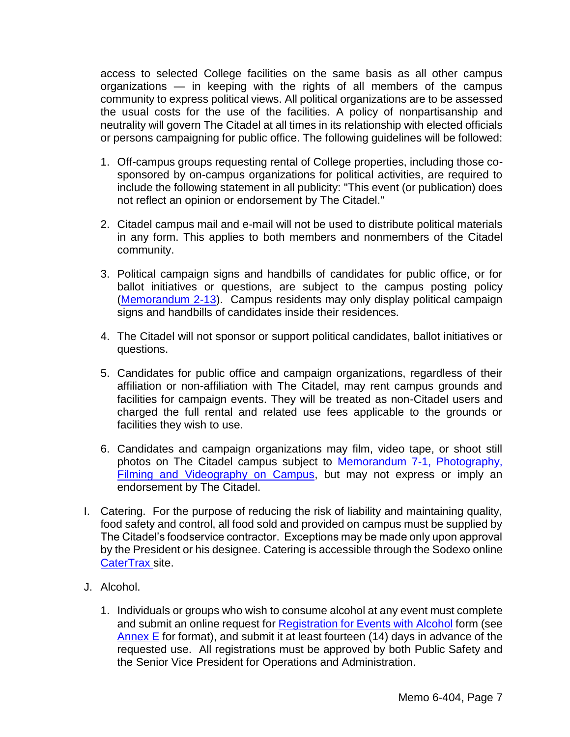access to selected College facilities on the same basis as all other campus organizations — in keeping with the rights of all members of the campus community to express political views. All political organizations are to be assessed the usual costs for the use of the facilities. A policy of nonpartisanship and neutrality will govern The Citadel at all times in its relationship with elected officials or persons campaigning for public office. The following guidelines will be followed:

- 1. Off-campus groups requesting rental of College properties, including those cosponsored by on-campus organizations for political activities, are required to include the following statement in all publicity: "This event (or publication) does not reflect an opinion or endorsement by The Citadel."
- 2. Citadel campus mail and e-mail will not be used to distribute political materials in any form. This applies to both members and nonmembers of the Citadel community.
- 3. Political campaign signs and handbills of candidates for public office, or for ballot initiatives or questions, are subject to the campus posting policy [\(Memorandum 2-13\)](http://www.citadel.edu/root/images/policies/7-006-posting-of-notices-pictures-signs-or-written-or-printed-material.pdf). Campus residents may only display political campaign signs and handbills of candidates inside their residences.
- 4. The Citadel will not sponsor or support political candidates, ballot initiatives or questions.
- 5. Candidates for public office and campaign organizations, regardless of their affiliation or non-affiliation with The Citadel, may rent campus grounds and facilities for campaign events. They will be treated as non-Citadel users and charged the full rental and related use fees applicable to the grounds or facilities they wish to use.
- 6. Candidates and campaign organizations may film, video tape, or shoot still photos on The Citadel campus subject to [Memorandum 7-1,](http://www.citadel.edu/root/images/policies/7-001-photography-filming-and-videography-on-campus.pdf) Photography, [Filming and Videography on Campus,](http://www.citadel.edu/root/images/policies/7-001-photography-filming-and-videography-on-campus.pdf) but may not express or imply an endorsement by The Citadel.
- I. Catering. For the purpose of reducing the risk of liability and maintaining quality, food safety and control, all food sold and provided on campus must be supplied by The Citadel's foodservice contractor. Exceptions may be made only upon approval by the President or his designee. Catering is accessible through the Sodexo online [CaterTrax s](https://thecitadel.catertrax.com/shopportal.asp?pageid=59&pageref=Flavours&intOrderID=&intCustomerID=)ite.
- J. Alcohol.
	- 1. Individuals or groups who wish to consume alcohol at any event must complete and submit an online request for [Registration for Events with Alcohol](http://www.citadel.edu/root/events-with-alcohol-form) form (see [Annex E](#page-18-0) for format), and submit it at least fourteen (14) days in advance of the requested use. All registrations must be approved by both Public Safety and the Senior Vice President for Operations and Administration.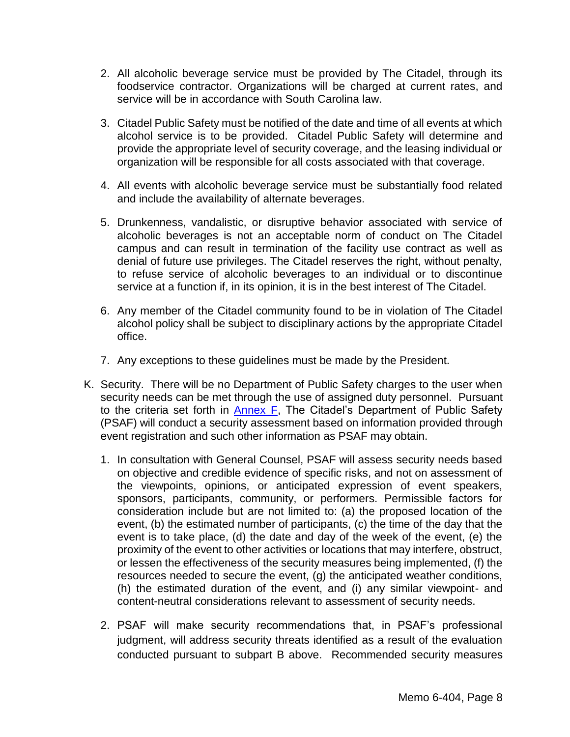- 2. All alcoholic beverage service must be provided by The Citadel, through its foodservice contractor. Organizations will be charged at current rates, and service will be in accordance with South Carolina law.
- 3. Citadel Public Safety must be notified of the date and time of all events at which alcohol service is to be provided. Citadel Public Safety will determine and provide the appropriate level of security coverage, and the leasing individual or organization will be responsible for all costs associated with that coverage.
- 4. All events with alcoholic beverage service must be substantially food related and include the availability of alternate beverages.
- 5. Drunkenness, vandalistic, or disruptive behavior associated with service of alcoholic beverages is not an acceptable norm of conduct on The Citadel campus and can result in termination of the facility use contract as well as denial of future use privileges. The Citadel reserves the right, without penalty, to refuse service of alcoholic beverages to an individual or to discontinue service at a function if, in its opinion, it is in the best interest of The Citadel.
- 6. Any member of the Citadel community found to be in violation of The Citadel alcohol policy shall be subject to disciplinary actions by the appropriate Citadel office.
- 7. Any exceptions to these guidelines must be made by the President.
- K. Security. There will be no Department of Public Safety charges to the user when security needs can be met through the use of assigned duty personnel. Pursuant to the criteria set forth in [Annex](#page-20-0) F. The Citadel's Department of Public Safety (PSAF) will conduct a security assessment based on information provided through event registration and such other information as PSAF may obtain.
	- 1. In consultation with General Counsel, PSAF will assess security needs based on objective and credible evidence of specific risks, and not on assessment of the viewpoints, opinions, or anticipated expression of event speakers, sponsors, participants, community, or performers. Permissible factors for consideration include but are not limited to: (a) the proposed location of the event, (b) the estimated number of participants, (c) the time of the day that the event is to take place, (d) the date and day of the week of the event, (e) the proximity of the event to other activities or locations that may interfere, obstruct, or lessen the effectiveness of the security measures being implemented, (f) the resources needed to secure the event, (g) the anticipated weather conditions, (h) the estimated duration of the event, and (i) any similar viewpoint- and content-neutral considerations relevant to assessment of security needs.
	- 2. PSAF will make security recommendations that, in PSAF's professional judgment, will address security threats identified as a result of the evaluation conducted pursuant to subpart B above. Recommended security measures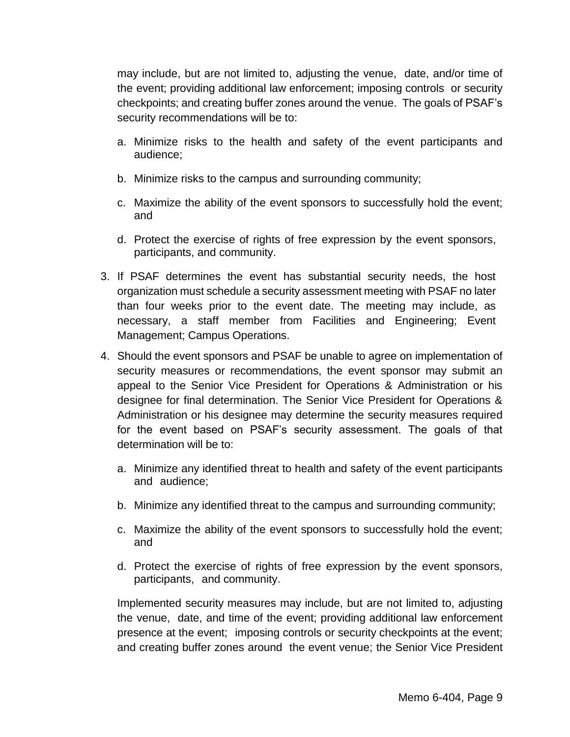may include, but are not limited to, adjusting the venue, date, and/or time of the event; providing additional law enforcement; imposing controls or security checkpoints; and creating buffer zones around the venue. The goals of PSAF's security recommendations will be to:

- a. Minimize risks to the health and safety of the event participants and audience;
- b. Minimize risks to the campus and surrounding community;
- c. Maximize the ability of the event sponsors to successfully hold the event; and
- d. Protect the exercise of rights of free expression by the event sponsors, participants, and community.
- 3. If PSAF determines the event has substantial security needs, the host organization must schedule a security assessment meeting with PSAF no later than four weeks prior to the event date. The meeting may include, as necessary, a staff member from Facilities and Engineering; Event Management; Campus Operations.
- 4. Should the event sponsors and PSAF be unable to agree on implementation of security measures or recommendations, the event sponsor may submit an appeal to the Senior Vice President for Operations & Administration or his designee for final determination. The Senior Vice President for Operations & Administration or his designee may determine the security measures required for the event based on PSAF's security assessment. The goals of that determination will be to:
	- a. Minimize any identified threat to health and safety of the event participants and audience;
	- b. Minimize any identified threat to the campus and surrounding community;
	- c. Maximize the ability of the event sponsors to successfully hold the event; and
	- d. Protect the exercise of rights of free expression by the event sponsors, participants, and community.

Implemented security measures may include, but are not limited to, adjusting the venue, date, and time of the event; providing additional law enforcement presence at the event; imposing controls or security checkpoints at the event; and creating buffer zones around the event venue; the Senior Vice President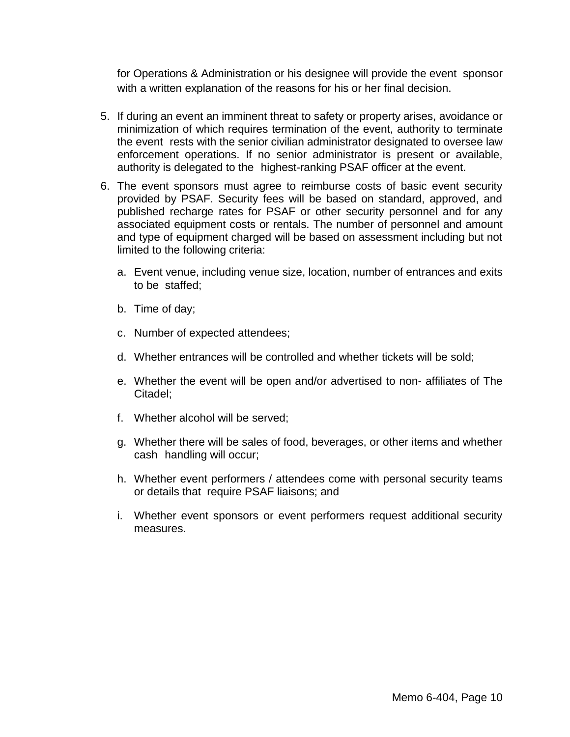for Operations & Administration or his designee will provide the event sponsor with a written explanation of the reasons for his or her final decision.

- 5. If during an event an imminent threat to safety or property arises, avoidance or minimization of which requires termination of the event, authority to terminate the event rests with the senior civilian administrator designated to oversee law enforcement operations. If no senior administrator is present or available, authority is delegated to the highest-ranking PSAF officer at the event.
- 6. The event sponsors must agree to reimburse costs of basic event security provided by PSAF. Security fees will be based on standard, approved, and published recharge rates for PSAF or other security personnel and for any associated equipment costs or rentals. The number of personnel and amount and type of equipment charged will be based on assessment including but not limited to the following criteria:
	- a. Event venue, including venue size, location, number of entrances and exits to be staffed;
	- b. Time of day;
	- c. Number of expected attendees;
	- d. Whether entrances will be controlled and whether tickets will be sold;
	- e. Whether the event will be open and/or advertised to non- affiliates of The Citadel;
	- f. Whether alcohol will be served;
	- g. Whether there will be sales of food, beverages, or other items and whether cash handling will occur;
	- h. Whether event performers / attendees come with personal security teams or details that require PSAF liaisons; and
	- i. Whether event sponsors or event performers request additional security measures.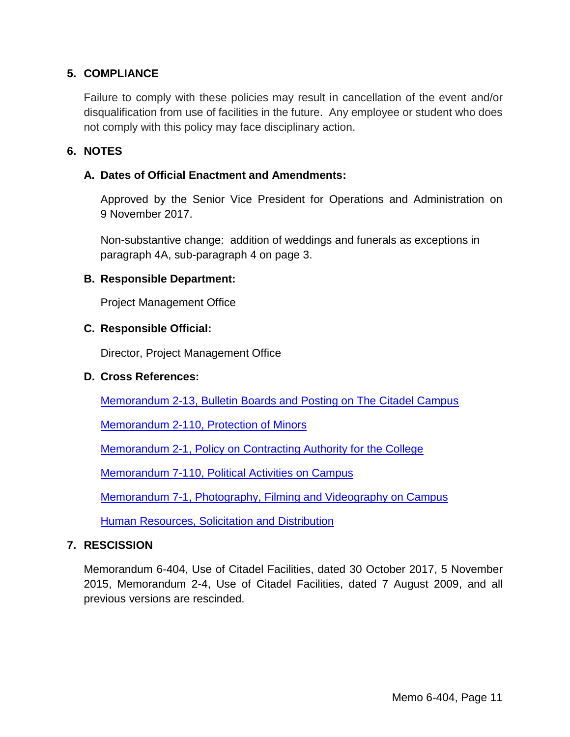## **5. COMPLIANCE**

Failure to comply with these policies may result in cancellation of the event and/or disqualification from use of facilities in the future. Any employee or student who does not comply with this policy may face disciplinary action.

#### **6. NOTES**

#### **A. Dates of Official Enactment and Amendments:**

Approved by the Senior Vice President for Operations and Administration on 9 November 2017.

Non-substantive change: addition of weddings and funerals as exceptions in paragraph 4A, sub-paragraph 4 on page 3.

#### **B. Responsible Department:**

Project Management Office

#### **C. Responsible Official:**

Director, Project Management Office

#### **D. Cross References:**

[Memorandum 2-13, Bulletin Boards and Posting on The Citadel Campus](http://www.citadel.edu/root/images/Policies/7-006-posting-of-notices-pictures-signs-or-written-or-printed-material.pdf)

[Memorandum 2-110,](http://www.citadel.edu/root/images/Policies/2-110-protection-of-minors-policy.pdf) Protection of Minors

Memorandum 2-1, [Policy on Contracting Authority for the College](http://www.citadel.edu/root/images/Policies/2-001-contracting-authority-for-the-college.pdf)

Memorandum 7-110, [Political Activities on Campus](http://www.citadel.edu/root/images/Policies/7-110-political-activities-on-campus.pdf)

Memorandum 7-1, [Photography, Filming and Videography on Campus](http://www.citadel.edu/root/images/Policies/7-001-photography-filming-and-videography-on-campus.pdf)

[Human Resources, Solicitation and Distribution](http://www.citadel.edu/ROOT/hr-policies-procedures/178-human-resources/20351-policies-procedures-solicitation-distribution)

#### **7. RESCISSION**

Memorandum 6-404, Use of Citadel Facilities, dated 30 October 2017, 5 November 2015, Memorandum 2-4, Use of Citadel Facilities, dated 7 August 2009, and all previous versions are rescinded.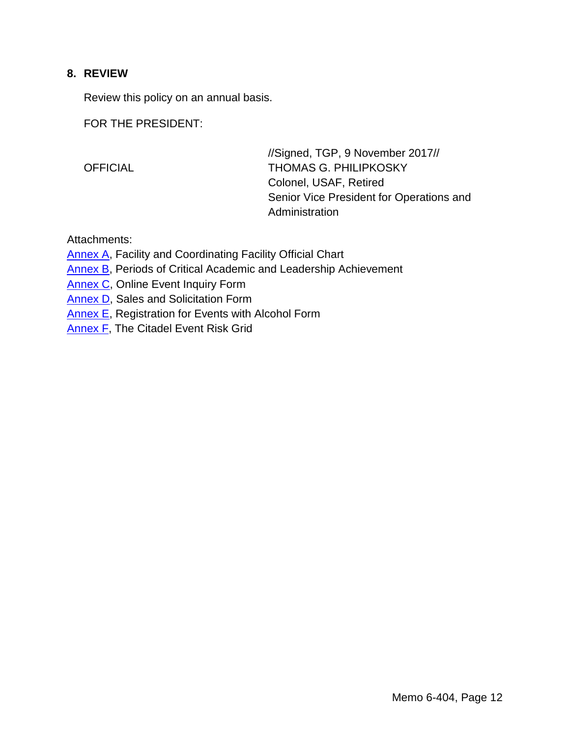#### **8. REVIEW**

Review this policy on an annual basis.

FOR THE PRESIDENT:

//Signed, TGP, 9 November 2017// OFFICIAL THOMAS G. PHILIPKOSKY Colonel, USAF, Retired Senior Vice President for Operations and **Administration** 

Attachments:

[Annex A,](#page-12-0) Facility and Coordinating Facility Official Chart

[Annex B,](#page-13-0) Periods of Critical Academic and Leadership Achievement

[Annex C,](#page-14-0) Online Event Inquiry Form

[Annex D,](#page-16-0) Sales and Solicitation Form

[Annex E,](#page-18-0) Registration for Events with Alcohol Form

**[Annex F,](#page-20-0) The Citadel Event Risk Grid**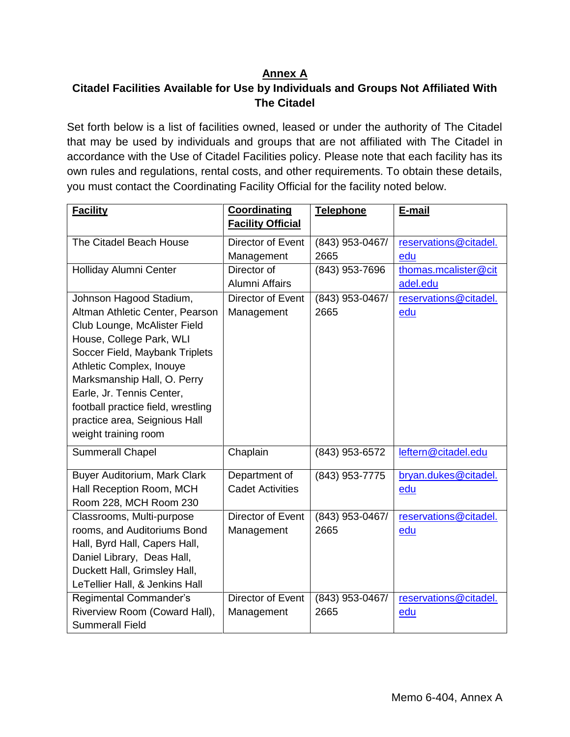## **Annex A**

## <span id="page-12-0"></span>**Citadel Facilities Available for Use by Individuals and Groups Not Affiliated With The Citadel**

Set forth below is a list of facilities owned, leased or under the authority of The Citadel that may be used by individuals and groups that are not affiliated with The Citadel in accordance with the Use of Citadel Facilities policy. Please note that each facility has its own rules and regulations, rental costs, and other requirements. To obtain these details, you must contact the Coordinating Facility Official for the facility noted below.

| <b>Facility</b>                                                                                                                                                                                                                                                                                                                                 | <b>Coordinating</b><br><b>Facility Official</b> | Telephone                 | E-mail                           |
|-------------------------------------------------------------------------------------------------------------------------------------------------------------------------------------------------------------------------------------------------------------------------------------------------------------------------------------------------|-------------------------------------------------|---------------------------|----------------------------------|
| The Citadel Beach House                                                                                                                                                                                                                                                                                                                         | Director of Event<br>Management                 | (843) 953-0467/<br>2665   | reservations@citadel.<br>edu     |
| Holliday Alumni Center                                                                                                                                                                                                                                                                                                                          | Director of<br>Alumni Affairs                   | (843) 953-7696            | thomas.mcalister@cit<br>adel.edu |
| Johnson Hagood Stadium,<br>Altman Athletic Center, Pearson<br>Club Lounge, McAlister Field<br>House, College Park, WLI<br>Soccer Field, Maybank Triplets<br>Athletic Complex, Inouye<br>Marksmanship Hall, O. Perry<br>Earle, Jr. Tennis Center,<br>football practice field, wrestling<br>practice area, Seignious Hall<br>weight training room | Director of Event<br>Management                 | $(843)$ 953-0467/<br>2665 | reservations@citadel.<br>edu     |
| <b>Summerall Chapel</b>                                                                                                                                                                                                                                                                                                                         | Chaplain                                        | (843) 953-6572            | leftern@citadel.edu              |
| Buyer Auditorium, Mark Clark<br>Hall Reception Room, MCH<br>Room 228, MCH Room 230                                                                                                                                                                                                                                                              | Department of<br><b>Cadet Activities</b>        | (843) 953-7775            | bryan.dukes@citadel.<br>edu      |
| Classrooms, Multi-purpose<br>rooms, and Auditoriums Bond<br>Hall, Byrd Hall, Capers Hall,<br>Daniel Library, Deas Hall,<br>Duckett Hall, Grimsley Hall,<br>LeTellier Hall, & Jenkins Hall                                                                                                                                                       | Director of Event<br>Management                 | (843) 953-0467/<br>2665   | reservations@citadel.<br>edu     |
| <b>Regimental Commander's</b><br>Riverview Room (Coward Hall),<br><b>Summerall Field</b>                                                                                                                                                                                                                                                        | Director of Event<br>Management                 | (843) 953-0467/<br>2665   | reservations@citadel.<br>edu     |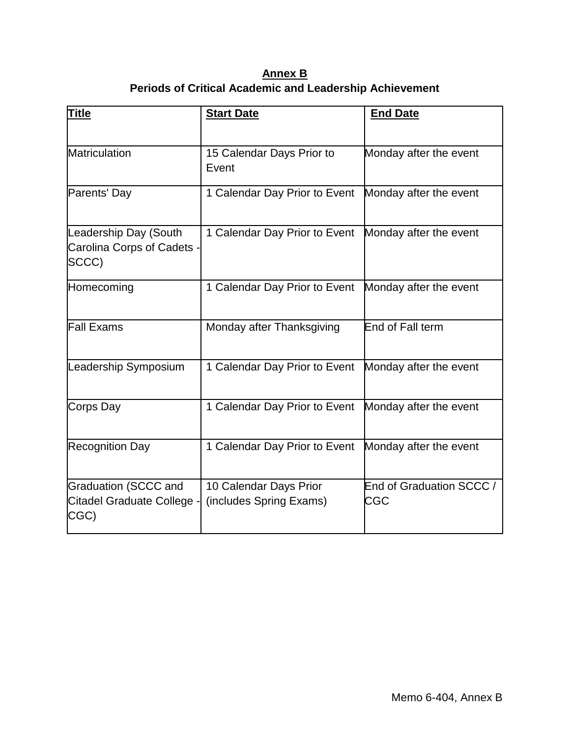**Annex B Periods of Critical Academic and Leadership Achievement**

<span id="page-13-0"></span>

| <b>Title</b>                                                      | <b>Start Date</b>                                 | <b>End Date</b>                        |
|-------------------------------------------------------------------|---------------------------------------------------|----------------------------------------|
| Matriculation                                                     | 15 Calendar Days Prior to<br>Event                | Monday after the event                 |
| Parents' Day                                                      | 1 Calendar Day Prior to Event                     | Monday after the event                 |
| Leadership Day (South<br>Carolina Corps of Cadets -<br>SCCC)      | 1 Calendar Day Prior to Event                     | Monday after the event                 |
| Homecoming                                                        | 1 Calendar Day Prior to Event                     | Monday after the event                 |
| <b>Fall Exams</b>                                                 | Monday after Thanksgiving                         | End of Fall term                       |
| Leadership Symposium                                              | 1 Calendar Day Prior to Event                     | Monday after the event                 |
| Corps Day                                                         | 1 Calendar Day Prior to Event                     | Monday after the event                 |
| <b>Recognition Day</b>                                            | 1 Calendar Day Prior to Event                     | Monday after the event                 |
| <b>Graduation (SCCC and</b><br>Citadel Graduate College -<br>CGC) | 10 Calendar Days Prior<br>(includes Spring Exams) | End of Graduation SCCC /<br><b>CGC</b> |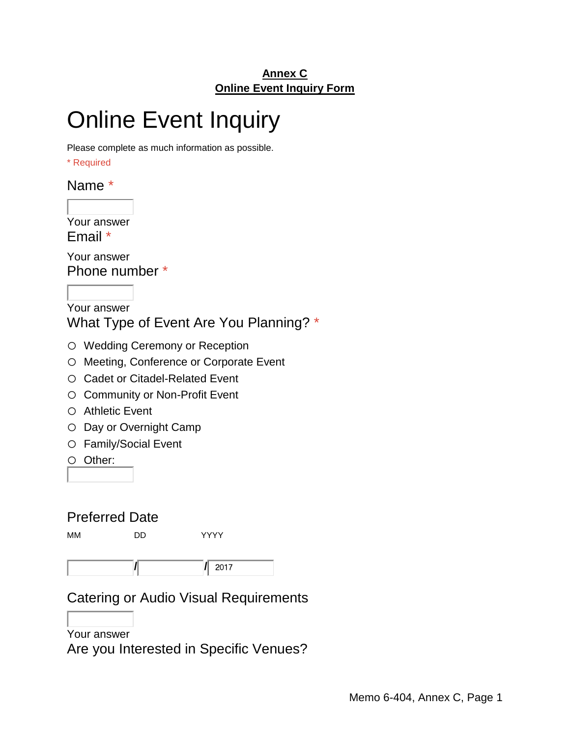## **Annex C Online Event Inquiry Form**

# <span id="page-14-0"></span>Online Event Inquiry

Please complete as much information as possible.

\* Required

Name \*

Your answer Email \*

Your answer Phone number \*

Your answer What Type of Event Are You Planning? \*

- o Wedding Ceremony or Reception
- o Meeting, Conference or Corporate Event
- o Cadet or Citadel-Related Event
- o Community or Non-Profit Event
- o Athletic Event
- o Day or Overnight Camp
- o Family/Social Event

o Other:

## Preferred Date

MM DD YYYY

**/ /**

## Catering or Audio Visual Requirements

## Your answer

Are you Interested in Specific Venues?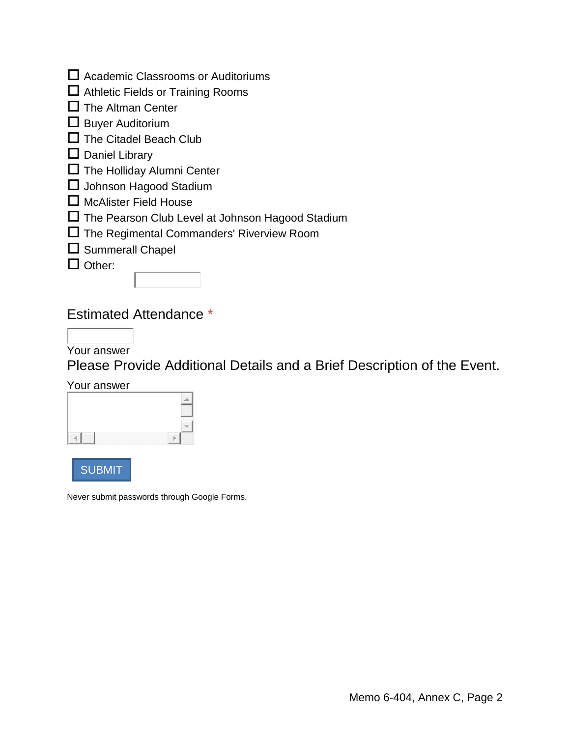| $\Box$ Academic Classrooms or Auditoriums |  |
|-------------------------------------------|--|
|-------------------------------------------|--|

- $\Box$  Athletic Fields or Training Rooms
- $\Box$  The Altman Center
- $\square$  Buyer Auditorium
- $\Box$  The Citadel Beach Club

## $\square$  Daniel Library

- $\square$  The Holliday Alumni Center
- $\square$  Johnson Hagood Stadium
- $\Box$  McAlister Field House
- The Pearson Club Level at Johnson Hagood Stadium
- The Regimental Commanders' Riverview Room
- $\square$  Summerall Chapel

 $\Box$  Other:

## Estimated Attendance \*

Your answer

Please Provide Additional Details and a Brief Description of the Event.

Your answer

| ,,,,,, |
|--------|
|        |
|        |

SUBMIT

Never submit passwords through Google Forms.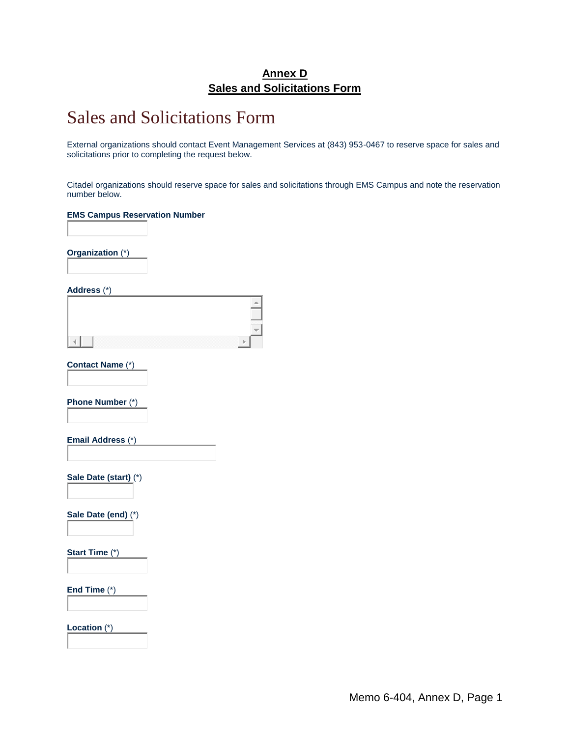### **Annex D Sales and Solicitations Form**

## <span id="page-16-0"></span>Sales and Solicitations Form

External organizations should contact Event Management Services at (843) 953-0467 to reserve space for sales and solicitations prior to completing the request below.

Citadel organizations should reserve space for sales and solicitations through EMS Campus and note the reservation number below.

#### **EMS Campus Reservation Number**

**Organization** (\*)

**Address** (\*)

**Contact Name** (\*)

**Phone Number** (\*)

**Email Address** (\*)

**Sale Date (start)** (\*)

**Sale Date (end)** (\*)

**Start Time** (\*)

**End Time** (\*)

**Location** (\*)

Memo 6-404, Annex D, Page 1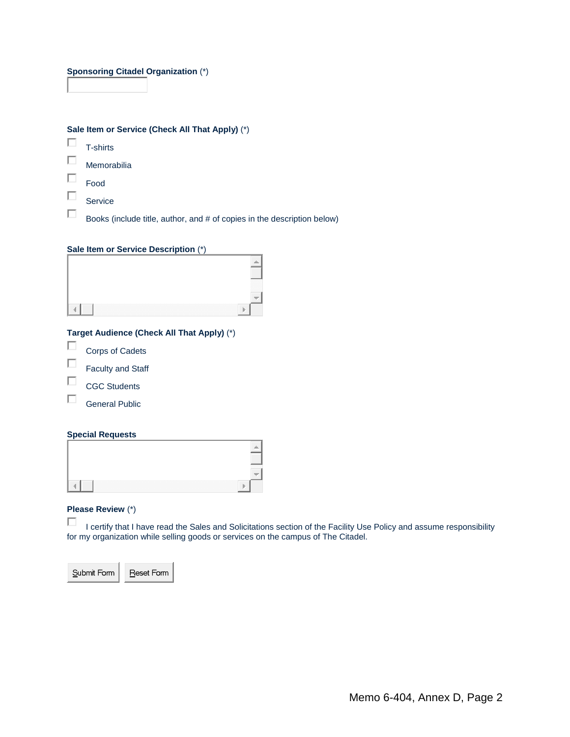#### **Sponsoring Citadel Organization** (\*)

|  |  | Sale Item or Service (Check All That Apply) (*) |  |  |
|--|--|-------------------------------------------------|--|--|

 $\Box$ T-shirts

П Memorabilia

П Food

П

П Service

Books (include title, author, and # of copies in the description below)

#### **Sale Item or Service Description** (\*)

|  |  |                                                                                                                | . |  |
|--|--|----------------------------------------------------------------------------------------------------------------|---|--|
|  |  | - 1999년 - 대한민국의 대한민국의 대한민국의 대한민국의 대한민국의 대한민국의 대한민국의 대한민국의 대한민국의 대한민국의 대한민국의 대한민국의 대한민국의 대한민국의 대한민국의 대한민국의 대한민국 |   |  |

#### **Target Audience (Check All That Apply)** (\*)

- П Corps of Cadets
- П Faculty and Staff
- П CGC Students
- П General Public

#### **Special Requests**

| ------- |  |
|---------|--|

#### **Please Review** (\*)

П I certify that I have read the Sales and Solicitations section of the Facility Use Policy and assume responsibility for my organization while selling goods or services on the campus of The Citadel.

Reset Form Submit Form  $\overline{\phantom{a}}$ 

Memo 6-404, Annex D, Page 2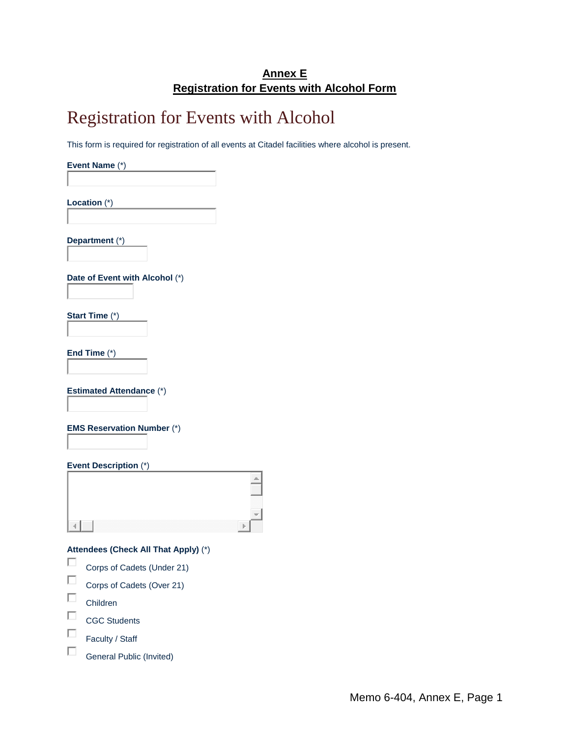## **Annex E Registration for Events with Alcohol Form**

## <span id="page-18-0"></span>Registration for Events with Alcohol

This form is required for registration of all events at Citadel facilities where alcohol is present.

**Event Name** (\*)

**Location** (\*)

**Department** (\*)

**Date of Event with Alcohol** (\*)

**Start Time** (\*)

**End Time** (\*)

**Estimated Attendance** (\*)

**EMS Reservation Number** (\*)

**Event Description** (\*)

| ______<br>. |
|-------------|
|             |
|             |

**Attendees (Check All That Apply)** (\*)

- П Corps of Cadets (Under 21)
- П Corps of Cadets (Over 21)
- П Children

 $\Box$ CGC Students

П Faculty / Staff

 $\Box$ General Public (Invited)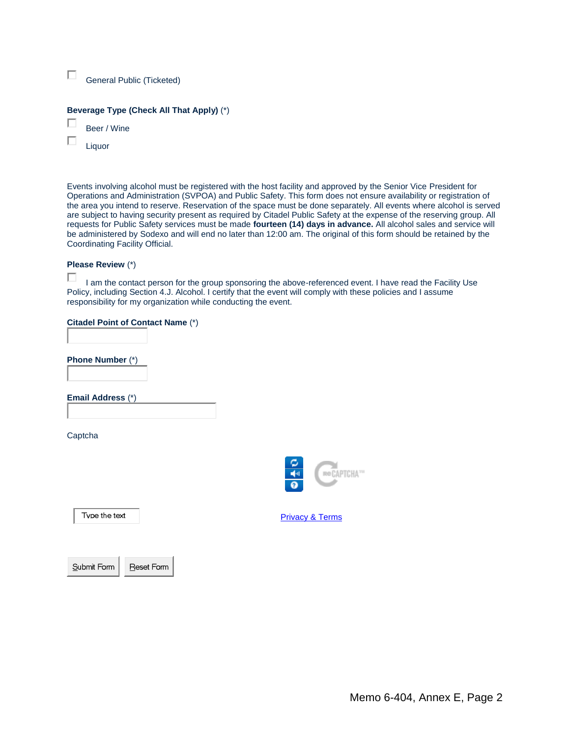| General Public (Ticketed) |  |
|---------------------------|--|
|---------------------------|--|

#### **Beverage Type (Check All That Apply)** (\*)

П Beer / Wine

П Liquor

Events involving alcohol must be registered with the host facility and approved by the Senior Vice President for Operations and Administration (SVPOA) and Public Safety. This form does not ensure availability or registration of the area you intend to reserve. Reservation of the space must be done separately. All events where alcohol is served are subject to having security present as required by Citadel Public Safety at the expense of the reserving group. All requests for Public Safety services must be made **fourteen (14) days in advance.** All alcohol sales and service will be administered by Sodexo and will end no later than 12:00 am. The original of this form should be retained by the Coordinating Facility Official.

#### **Please Review** (\*)

□ I am the contact person for the group sponsoring the above-referenced event. I have read the Facility Use Policy, including Section 4.J. Alcohol. I certify that the event will comply with these policies and I assume responsibility for my organization while conducting the event.

#### **Citadel Point of Contact Name** (\*)

**Phone Number** (\*)

**Email Address** (\*)

Captcha



Type the text

**[Privacy](http://www.google.com/intl/en/policies/) & Terms** 

Submit Form  $\overline{\phantom{a}}$ 

Reset Form